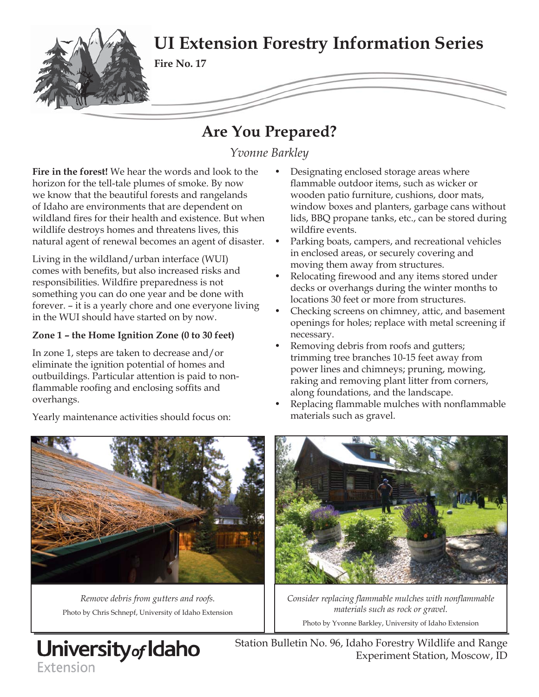

# **Are You Prepared?**

*Yvonne Barkley*

**Fire in the forest!** We hear the words and look to the horizon for the tell-tale plumes of smoke. By now we know that the beautiful forests and rangelands of Idaho are environments that are dependent on wildland fires for their health and existence. But when wildlife destroys homes and threatens lives, this natural agent of renewal becomes an agent of disaster.

Living in the wildland/urban interface (WUI) comes with benefits, but also increased risks and responsibilities. Wildfire preparedness is not something you can do one year and be done with forever. – it is a yearly chore and one everyone living in the WUI should have started on by now.

# **Zone 1 – the Home Ignition Zone (0 to 30 feet)**

In zone 1, steps are taken to decrease and/or eliminate the ignition potential of homes and outbuildings. Particular attention is paid to nonflammable roofing and enclosing soffits and overhangs.

- Designating enclosed storage areas where flammable outdoor items, such as wicker or wooden patio furniture, cushions, door mats, window boxes and planters, garbage cans without lids, BBQ propane tanks, etc., can be stored during wildfire events.
- Parking boats, campers, and recreational vehicles in enclosed areas, or securely covering and moving them away from structures.
- Relocating firewood and any items stored under decks or overhangs during the winter months to locations 30 feet or more from structures.
- Checking screens on chimney, attic, and basement openings for holes; replace with metal screening if necessary.
- Removing debris from roofs and gutters; trimming tree branches 10-15 feet away from power lines and chimneys; pruning, mowing, raking and removing plant litter from corners, along foundations, and the landscape.
- Replacing flammable mulches with nonflammable materials such as gravel.



*Remove debris from gutters and roofs.*  Photo by Chris Schnepf, University of Idaho Extension

University<sub>of</sub> Idaho

Extension



*Consider replacing flammable mulches with nonflammable materials such as rock or gravel.*

Photo by Yvonne Barkley, University of Idaho Extension

Station Bulletin No. 96, Idaho Forestry Wildlife and Range Experiment Station, Moscow, ID

Yearly maintenance activities should focus on: